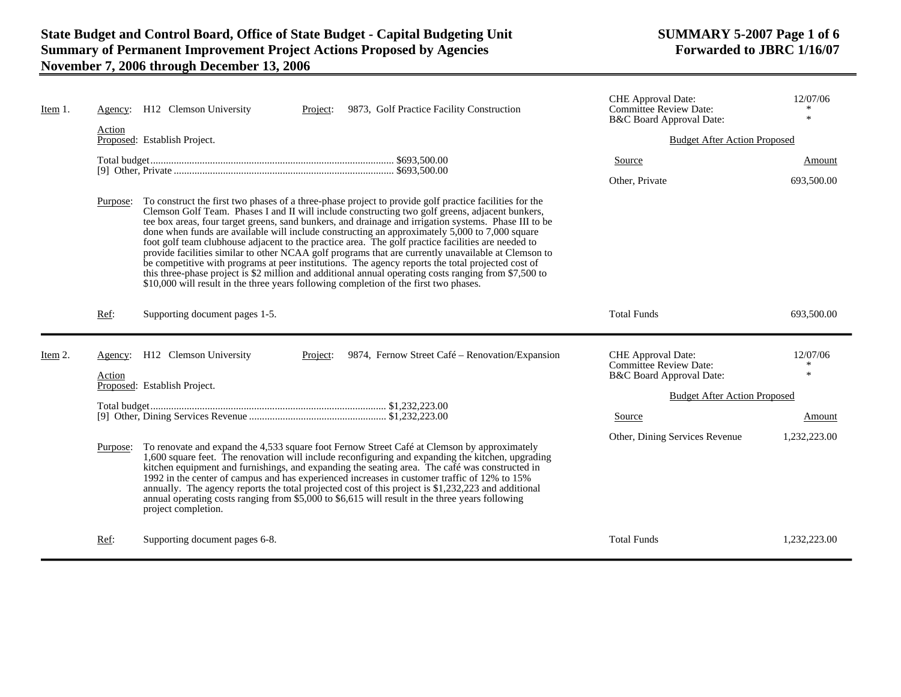| Item 1. | Agency:           | H12 Clemson University<br>9873, Golf Practice Facility Construction<br>Project:                                                                                                                                                                                                                                                                                                                                                                                                                                                                                                                                                                                                                                                                                                                                                                                                                                                          | <b>CHE</b> Approval Date:<br><b>Committee Review Date:</b><br>B&C Board Approval Date: | 12/07/06<br>$\ast$      |
|---------|-------------------|------------------------------------------------------------------------------------------------------------------------------------------------------------------------------------------------------------------------------------------------------------------------------------------------------------------------------------------------------------------------------------------------------------------------------------------------------------------------------------------------------------------------------------------------------------------------------------------------------------------------------------------------------------------------------------------------------------------------------------------------------------------------------------------------------------------------------------------------------------------------------------------------------------------------------------------|----------------------------------------------------------------------------------------|-------------------------|
|         | Action            | Proposed: Establish Project.                                                                                                                                                                                                                                                                                                                                                                                                                                                                                                                                                                                                                                                                                                                                                                                                                                                                                                             | <b>Budget After Action Proposed</b>                                                    |                         |
|         |                   |                                                                                                                                                                                                                                                                                                                                                                                                                                                                                                                                                                                                                                                                                                                                                                                                                                                                                                                                          | Source                                                                                 | Amount                  |
|         |                   |                                                                                                                                                                                                                                                                                                                                                                                                                                                                                                                                                                                                                                                                                                                                                                                                                                                                                                                                          | Other, Private                                                                         | 693,500.00              |
|         | Purpose:          | To construct the first two phases of a three-phase project to provide golf practice facilities for the<br>Clemson Golf Team. Phases I and II will include constructing two golf greens, adjacent bunkers,<br>tee box areas, four target greens, sand bunkers, and drainage and irrigation systems. Phase III to be<br>done when funds are available will include constructing an approximately 5,000 to 7,000 square<br>foot golf team clubhouse adjacent to the practice area. The golf practice facilities are needed to<br>provide facilities similar to other NCAA golf programs that are currently unavailable at Clemson to<br>be competitive with programs at peer institutions. The agency reports the total projected cost of<br>this three-phase project is \$2 million and additional annual operating costs ranging from \$7,500 to<br>\$10,000 will result in the three years following completion of the first two phases. |                                                                                        |                         |
|         | Ref:              | Supporting document pages 1-5.                                                                                                                                                                                                                                                                                                                                                                                                                                                                                                                                                                                                                                                                                                                                                                                                                                                                                                           | <b>Total Funds</b>                                                                     | 693,500.00              |
| Item 2. | Agency:<br>Action | H12 Clemson University<br>9874, Fernow Street Café – Renovation/Expansion<br>Project:                                                                                                                                                                                                                                                                                                                                                                                                                                                                                                                                                                                                                                                                                                                                                                                                                                                    | CHE Approval Date:<br><b>Committee Review Date:</b><br>B&C Board Approval Date:        | 12/07/06<br>米<br>$\ast$ |
|         |                   | Proposed: Establish Project.                                                                                                                                                                                                                                                                                                                                                                                                                                                                                                                                                                                                                                                                                                                                                                                                                                                                                                             | <b>Budget After Action Proposed</b>                                                    |                         |
|         |                   |                                                                                                                                                                                                                                                                                                                                                                                                                                                                                                                                                                                                                                                                                                                                                                                                                                                                                                                                          | Source                                                                                 | Amount                  |
|         |                   |                                                                                                                                                                                                                                                                                                                                                                                                                                                                                                                                                                                                                                                                                                                                                                                                                                                                                                                                          | Other, Dining Services Revenue                                                         | 1,232,223.00            |
|         | Purpose:          | To renovate and expand the 4,533 square foot Fernow Street Café at Clemson by approximately<br>1,600 square feet. The renovation will include reconfiguring and expanding the kitchen, upgrading<br>kitchen equipment and furnishings, and expanding the seating area. The café was constructed in<br>1992 in the center of campus and has experienced increases in customer traffic of 12% to 15%<br>annually. The agency reports the total projected cost of this project is \$1,232,223 and additional<br>annual operating costs ranging from \$5,000 to \$6,615 will result in the three years following<br>project completion.                                                                                                                                                                                                                                                                                                      |                                                                                        |                         |
|         | Ref:              | Supporting document pages 6-8.                                                                                                                                                                                                                                                                                                                                                                                                                                                                                                                                                                                                                                                                                                                                                                                                                                                                                                           | <b>Total Funds</b>                                                                     | 1,232,223.00            |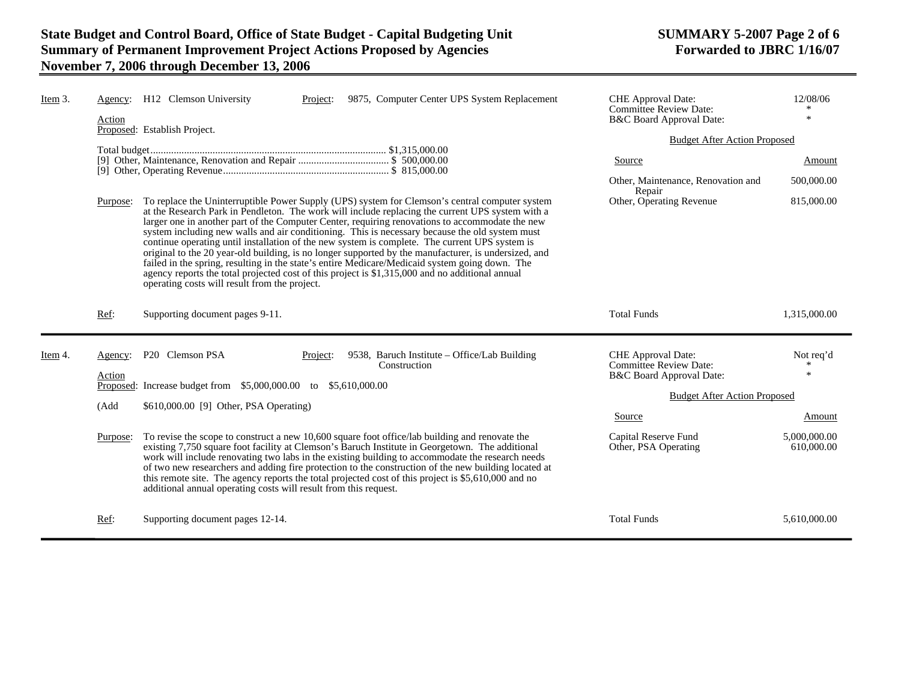| Item 3. | Action   | Agency: H12 Clemson University<br>9875, Computer Center UPS System Replacement<br>Project:<br>Proposed: Establish Project.                                                                                                                                                                                                                                                                                                                                                                                                                                                                                                                                                                                                                                                                                                                                              | <b>CHE</b> Approval Date:<br>Committee Review Date:<br>B&C Board Approval Date: | 12/08/06<br>$\ast$         |
|---------|----------|-------------------------------------------------------------------------------------------------------------------------------------------------------------------------------------------------------------------------------------------------------------------------------------------------------------------------------------------------------------------------------------------------------------------------------------------------------------------------------------------------------------------------------------------------------------------------------------------------------------------------------------------------------------------------------------------------------------------------------------------------------------------------------------------------------------------------------------------------------------------------|---------------------------------------------------------------------------------|----------------------------|
|         |          |                                                                                                                                                                                                                                                                                                                                                                                                                                                                                                                                                                                                                                                                                                                                                                                                                                                                         | <b>Budget After Action Proposed</b>                                             |                            |
|         |          |                                                                                                                                                                                                                                                                                                                                                                                                                                                                                                                                                                                                                                                                                                                                                                                                                                                                         | Source                                                                          | Amount                     |
|         |          |                                                                                                                                                                                                                                                                                                                                                                                                                                                                                                                                                                                                                                                                                                                                                                                                                                                                         | Other, Maintenance, Renovation and<br>Repair                                    | 500,000.00                 |
|         | Purpose: | To replace the Uninterruptible Power Supply (UPS) system for Clemson's central computer system<br>at the Research Park in Pendleton. The work will include replacing the current UPS system with a<br>larger one in another part of the Computer Center, requiring renovations to accommodate the new<br>system including new walls and air conditioning. This is necessary because the old system must<br>continue operating until installation of the new system is complete. The current UPS system is<br>original to the 20 year-old building, is no longer supported by the manufacturer, is undersized, and<br>failed in the spring, resulting in the state's entire Medicare/Medicaid system going down. The<br>agency reports the total projected cost of this project is \$1,315,000 and no additional annual<br>operating costs will result from the project. | Other, Operating Revenue                                                        | 815,000.00                 |
|         | Ref:     | Supporting document pages 9-11.                                                                                                                                                                                                                                                                                                                                                                                                                                                                                                                                                                                                                                                                                                                                                                                                                                         | <b>Total Funds</b>                                                              | 1,315,000.00               |
|         |          |                                                                                                                                                                                                                                                                                                                                                                                                                                                                                                                                                                                                                                                                                                                                                                                                                                                                         |                                                                                 |                            |
| Item 4. | Agency:  | P20 Clemson PSA<br>9538, Baruch Institute – Office/Lab Building<br>Project:<br>Construction                                                                                                                                                                                                                                                                                                                                                                                                                                                                                                                                                                                                                                                                                                                                                                             | <b>CHE</b> Approval Date:<br><b>Committee Review Date:</b>                      | Not req'd<br>$\ast$        |
|         | Action   | Proposed: Increase budget from \$5,000,000.00 to \$5,610,000.00                                                                                                                                                                                                                                                                                                                                                                                                                                                                                                                                                                                                                                                                                                                                                                                                         | B&C Board Approval Date:                                                        |                            |
|         | (Add     | \$610,000.00 [9] Other, PSA Operating)                                                                                                                                                                                                                                                                                                                                                                                                                                                                                                                                                                                                                                                                                                                                                                                                                                  | <b>Budget After Action Proposed</b>                                             |                            |
|         |          |                                                                                                                                                                                                                                                                                                                                                                                                                                                                                                                                                                                                                                                                                                                                                                                                                                                                         | Source                                                                          | Amount                     |
|         | Purpose: | To revise the scope to construct a new 10,600 square foot office/lab building and renovate the<br>existing 7,750 square foot facility at Clemson's Baruch Institute in Georgetown. The additional<br>work will include renovating two labs in the existing building to accommodate the research needs<br>of two new researchers and adding fire protection to the construction of the new building located at<br>this remote site. The agency reports the total projected cost of this project is \$5,610,000 and no<br>additional annual operating costs will result from this request.                                                                                                                                                                                                                                                                                | Capital Reserve Fund<br>Other, PSA Operating                                    | 5,000,000.00<br>610,000.00 |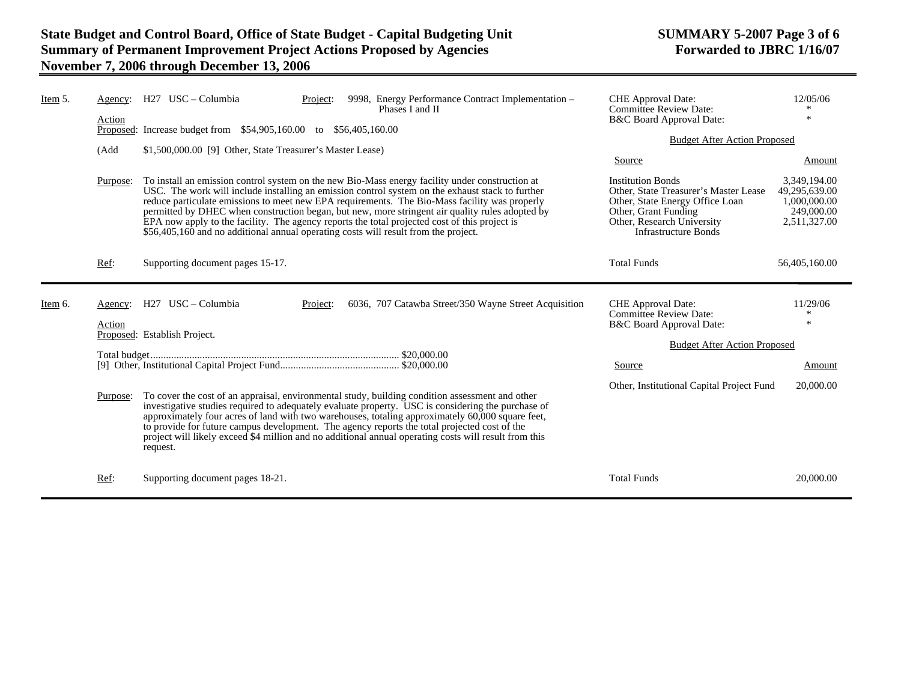| Item 5. | Agency:<br>Action | H <sub>27</sub> USC – Columbia<br>9998, Energy Performance Contract Implementation -<br>Project:<br>Phases I and II                                                                                                                                                                                                                                                                                                                                                                                                                                                                             | CHE Approval Date:<br><b>Committee Review Date:</b><br>B&C Board Approval Date:                                                                                                           | 12/05/06<br>×                                                               |
|---------|-------------------|-------------------------------------------------------------------------------------------------------------------------------------------------------------------------------------------------------------------------------------------------------------------------------------------------------------------------------------------------------------------------------------------------------------------------------------------------------------------------------------------------------------------------------------------------------------------------------------------------|-------------------------------------------------------------------------------------------------------------------------------------------------------------------------------------------|-----------------------------------------------------------------------------|
|         |                   | Proposed: Increase budget from \$54,905,160.00 to \$56,405,160.00                                                                                                                                                                                                                                                                                                                                                                                                                                                                                                                               | <b>Budget After Action Proposed</b>                                                                                                                                                       |                                                                             |
|         | (Add              | \$1,500,000.00 [9] Other, State Treasurer's Master Lease)                                                                                                                                                                                                                                                                                                                                                                                                                                                                                                                                       | Source                                                                                                                                                                                    | Amount                                                                      |
|         | Purpose:          | To install an emission control system on the new Bio-Mass energy facility under construction at<br>USC. The work will include installing an emission control system on the exhaust stack to further<br>reduce particulate emissions to meet new EPA requirements. The Bio-Mass facility was properly<br>permitted by DHEC when construction began, but new, more stringent air quality rules adopted by<br>EPA now apply to the facility. The agency reports the total projected cost of this project is<br>\$56,405,160 and no additional annual operating costs will result from the project. | <b>Institution Bonds</b><br>Other, State Treasurer's Master Lease<br>Other, State Energy Office Loan<br>Other, Grant Funding<br>Other, Research University<br><b>Infrastructure Bonds</b> | 3,349,194.00<br>49,295,639.00<br>1,000,000.00<br>249,000.00<br>2,511,327.00 |
|         | Ref:              | Supporting document pages 15-17.                                                                                                                                                                                                                                                                                                                                                                                                                                                                                                                                                                | <b>Total Funds</b>                                                                                                                                                                        | 56,405,160.00                                                               |
| Item 6. | Agency:<br>Action | H27 USC - Columbia<br>6036, 707 Catawba Street/350 Wayne Street Acquisition<br>Project:<br>Proposed: Establish Project.                                                                                                                                                                                                                                                                                                                                                                                                                                                                         | <b>CHE</b> Approval Date:<br><b>Committee Review Date:</b><br>B&C Board Approval Date:                                                                                                    | 11/29/06<br>$\ast$                                                          |
|         |                   |                                                                                                                                                                                                                                                                                                                                                                                                                                                                                                                                                                                                 | <b>Budget After Action Proposed</b>                                                                                                                                                       |                                                                             |
|         |                   |                                                                                                                                                                                                                                                                                                                                                                                                                                                                                                                                                                                                 | Source                                                                                                                                                                                    | Amount                                                                      |
|         | Purpose:          | To cover the cost of an appraisal, environmental study, building condition assessment and other<br>investigative studies required to adequately evaluate property. USC is considering the purchase of<br>approximately four acres of land with two warehouses, totaling approximately 60,000 square feet,<br>to provide for future campus development. The agency reports the total projected cost of the<br>project will likely exceed \$4 million and no additional annual operating costs will result from this<br>request.                                                                  | Other, Institutional Capital Project Fund                                                                                                                                                 | 20,000.00                                                                   |
|         | Ref:              | Supporting document pages 18-21.                                                                                                                                                                                                                                                                                                                                                                                                                                                                                                                                                                | <b>Total Funds</b>                                                                                                                                                                        | 20,000.00                                                                   |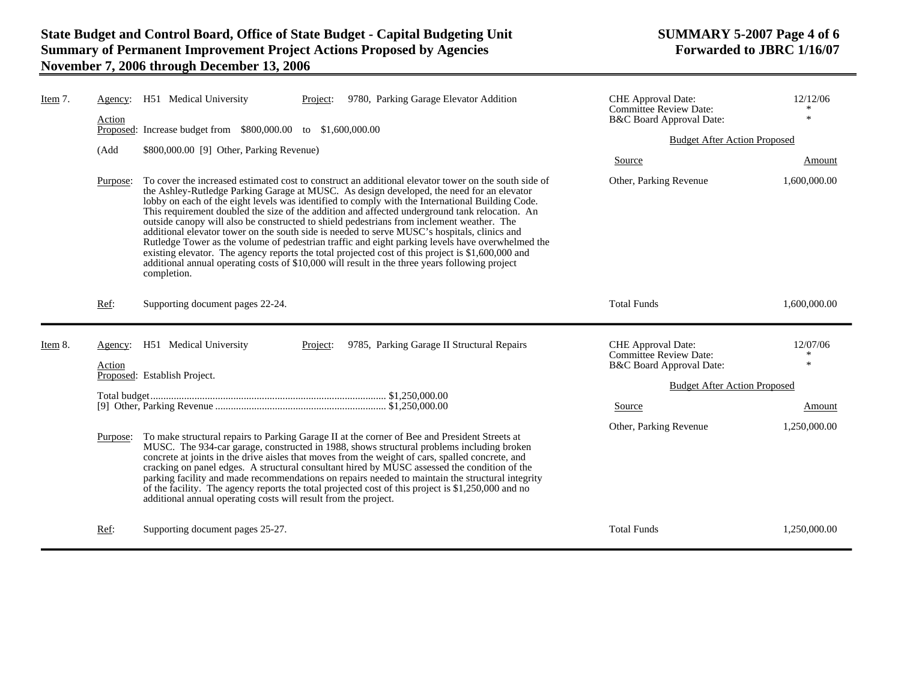| Item 7. | Agency:<br>Action | H51 Medical University                                          | 9780, Parking Garage Elevator Addition<br>Project:                                                                                                                                                                                                                                                                                                                                                                                                                                                                                                                                                                                                                                                                                                                                                                                                                                                              | <b>CHE</b> Approval Date:<br><b>Committee Review Date:</b><br>B&C Board Approval Date: | 12/12/06<br>$\ast$      |
|---------|-------------------|-----------------------------------------------------------------|-----------------------------------------------------------------------------------------------------------------------------------------------------------------------------------------------------------------------------------------------------------------------------------------------------------------------------------------------------------------------------------------------------------------------------------------------------------------------------------------------------------------------------------------------------------------------------------------------------------------------------------------------------------------------------------------------------------------------------------------------------------------------------------------------------------------------------------------------------------------------------------------------------------------|----------------------------------------------------------------------------------------|-------------------------|
|         |                   | Proposed: Increase budget from \$800,000.00 to \$1,600,000.00   | <b>Budget After Action Proposed</b>                                                                                                                                                                                                                                                                                                                                                                                                                                                                                                                                                                                                                                                                                                                                                                                                                                                                             |                                                                                        |                         |
|         | (Add              | \$800,000.00 [9] Other, Parking Revenue)                        |                                                                                                                                                                                                                                                                                                                                                                                                                                                                                                                                                                                                                                                                                                                                                                                                                                                                                                                 | Source                                                                                 | Amount                  |
|         | Purpose:          | completion.                                                     | To cover the increased estimated cost to construct an additional elevator tower on the south side of<br>the Ashley-Rutledge Parking Garage at MUSC. As design developed, the need for an elevator<br>lobby on each of the eight levels was identified to comply with the International Building Code.<br>This requirement doubled the size of the addition and affected underground tank relocation. An<br>outside canopy will also be constructed to shield pedestrians from inclement weather. The<br>additional elevator tower on the south side is needed to serve MUSC's hospitals, clinics and<br>Rutledge Tower as the volume of pedestrian traffic and eight parking levels have overwhelmed the<br>existing elevator. The agency reports the total projected cost of this project is \$1,600,000 and<br>additional annual operating costs of \$10,000 will result in the three years following project | Other, Parking Revenue                                                                 | 1,600,000.00            |
|         | Ref:              | Supporting document pages 22-24.                                |                                                                                                                                                                                                                                                                                                                                                                                                                                                                                                                                                                                                                                                                                                                                                                                                                                                                                                                 | <b>Total Funds</b>                                                                     | 1.600.000.00            |
| Item 8. | Agency:<br>Action | H51 Medical University                                          | 9785, Parking Garage II Structural Repairs<br>Project:                                                                                                                                                                                                                                                                                                                                                                                                                                                                                                                                                                                                                                                                                                                                                                                                                                                          | CHE Approval Date:<br><b>Committee Review Date:</b><br>B&C Board Approval Date:        | 12/07/06<br>∗<br>$\ast$ |
|         |                   | Proposed: Establish Project.                                    |                                                                                                                                                                                                                                                                                                                                                                                                                                                                                                                                                                                                                                                                                                                                                                                                                                                                                                                 | <b>Budget After Action Proposed</b>                                                    |                         |
|         |                   |                                                                 |                                                                                                                                                                                                                                                                                                                                                                                                                                                                                                                                                                                                                                                                                                                                                                                                                                                                                                                 | Source                                                                                 | Amount                  |
|         | Purpose:          | additional annual operating costs will result from the project. | To make structural repairs to Parking Garage II at the corner of Bee and President Streets at<br>MUSC. The 934-car garage, constructed in 1988, shows structural problems including broken<br>concrete at joints in the drive aisles that moves from the weight of cars, spalled concrete, and<br>cracking on panel edges. A structural consultant hired by MUSC assessed the condition of the<br>parking facility and made recommendations on repairs needed to maintain the structural integrity<br>of the facility. The agency reports the total projected cost of this project is \$1,250,000 and no                                                                                                                                                                                                                                                                                                        | Other, Parking Revenue                                                                 | 1,250,000.00            |
|         | Ref:              | Supporting document pages 25-27.                                |                                                                                                                                                                                                                                                                                                                                                                                                                                                                                                                                                                                                                                                                                                                                                                                                                                                                                                                 | <b>Total Funds</b>                                                                     | 1,250,000.00            |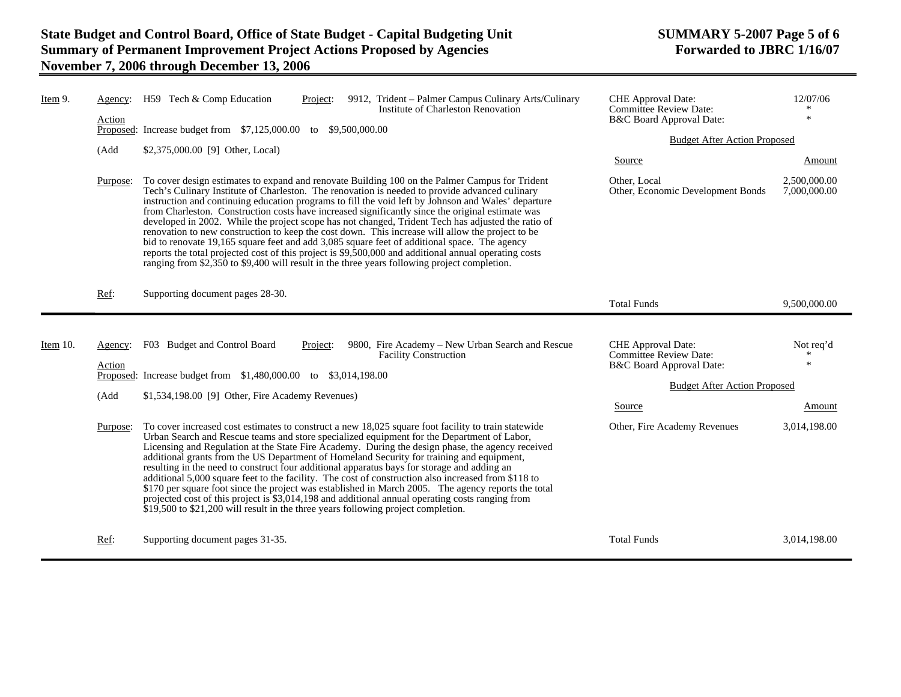| Item 9.  | Agency:<br>Action<br>(Add<br>Purpose: | H59 Tech & Comp Education<br>9912, Trident – Palmer Campus Culinary Arts/Culinary<br>Project:<br>Institute of Charleston Renovation<br>Proposed: Increase budget from \$7,125,000.00<br>to \$9,500,000.00<br>$$2,375,000.00$ [9] Other, Local)<br>To cover design estimates to expand and renovate Building 100 on the Palmer Campus for Trident<br>Tech's Culinary Institute of Charleston. The renovation is needed to provide advanced culinary<br>instruction and continuing education programs to fill the void left by Johnson and Wales' departure<br>from Charleston. Construction costs have increased significantly since the original estimate was<br>developed in 2002. While the project scope has not changed, Trident Tech has adjusted the ratio of<br>renovation to new construction to keep the cost down. This increase will allow the project to be<br>bid to renovate 19,165 square feet and add 3,085 square feet of additional space. The agency<br>reports the total projected cost of this project is \$9,500,000 and additional annual operating costs<br>ranging from \$2,350 to \$9,400 will result in the three years following project completion. | <b>CHE</b> Approval Date:<br><b>Committee Review Date:</b><br>B&C Board Approval Date:<br><b>Budget After Action Proposed</b><br>Source<br>Other, Local<br>Other, Economic Development Bonds | 12/07/06<br>$\ast$<br>Amount<br>2,500,000.00<br>7,000,000.00 |
|----------|---------------------------------------|----------------------------------------------------------------------------------------------------------------------------------------------------------------------------------------------------------------------------------------------------------------------------------------------------------------------------------------------------------------------------------------------------------------------------------------------------------------------------------------------------------------------------------------------------------------------------------------------------------------------------------------------------------------------------------------------------------------------------------------------------------------------------------------------------------------------------------------------------------------------------------------------------------------------------------------------------------------------------------------------------------------------------------------------------------------------------------------------------------------------------------------------------------------------------------|----------------------------------------------------------------------------------------------------------------------------------------------------------------------------------------------|--------------------------------------------------------------|
|          | Ref:                                  | Supporting document pages 28-30.                                                                                                                                                                                                                                                                                                                                                                                                                                                                                                                                                                                                                                                                                                                                                                                                                                                                                                                                                                                                                                                                                                                                                 | <b>Total Funds</b>                                                                                                                                                                           | 9,500,000.00                                                 |
| Item 10. | Agency:<br>Action                     | F03 Budget and Control Board<br>9800, Fire Academy – New Urban Search and Rescue<br>Project:<br><b>Facility Construction</b><br>Proposed: Increase budget from \$1,480,000.00 to \$3,014,198.00                                                                                                                                                                                                                                                                                                                                                                                                                                                                                                                                                                                                                                                                                                                                                                                                                                                                                                                                                                                  | CHE Approval Date:<br><b>Committee Review Date:</b><br>B&C Board Approval Date:                                                                                                              | Not req'd<br>$\ast$                                          |
|          | (Add<br>Purpose:                      | $$1,534,198.00$ [9] Other, Fire Academy Revenues)<br>To cover increased cost estimates to construct a new 18,025 square foot facility to train statewide<br>Urban Search and Rescue teams and store specialized equipment for the Department of Labor,<br>Licensing and Regulation at the State Fire Academy. During the design phase, the agency received<br>additional grants from the US Department of Homeland Security for training and equipment,<br>resulting in the need to construct four additional apparatus bays for storage and adding an                                                                                                                                                                                                                                                                                                                                                                                                                                                                                                                                                                                                                           | <b>Budget After Action Proposed</b><br><b>Source</b><br>Other, Fire Academy Revenues                                                                                                         | Amount<br>3,014,198.00                                       |